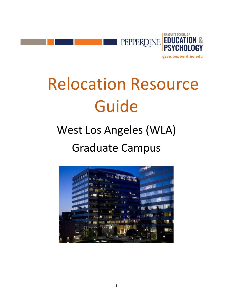

# Relocation Resource Guide

# West Los Angeles (WLA) Graduate Campus

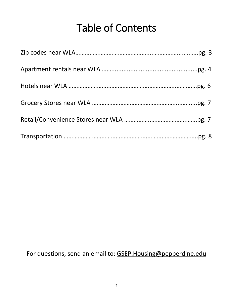# Table of Contents

For questions, send an email to: [GSEP.Housing@pepperdine.edu](mailto:GSEP.Housing@pepperdine.edu)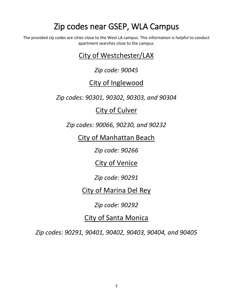# Zip codes near GSEP, WLA Campus

The provided zip codes are cities close to the West LA campus. This information is helpful to conduct apartment searches close to the campus.

## City of Westchester/LAX

### *Zip code: 90045*

## City of Inglewood

*Zip codes: 90301, 90302, 90303, and 90304*

### City of Culver

*Zip codes: 90066, 90230, and 90232*

City of Manhattan Beach

*Zip code: 90266*

City of Venice

*Zip code: 90291*

City of Marina Del Rey

*Zip code: 90292*

### City of Santa Monica

*Zip codes: 90291, 90401, 90402, 90403, 90404, and 90405*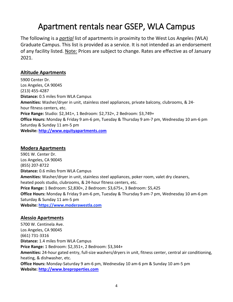# Apartment rentals near GSEP, WLA Campus

The following is a *partial* list of apartments in proximity to the West Los Angeles (WLA) Graduate Campus. This list is provided as a service. It is not intended as an endorsement of any facility listed. Note: Prices are subject to change. Rates are effective as of January 2021.

#### **Altitude Apartments**

5900 Center Dr. Los Angeles, CA 90045 (213) 455-4287 **Distance:** 0.5 miles from WLA Campus **Amenities:** Washer/dryer in unit, stainless steel appliances, private balcony, clubrooms, & 24 hour fitness centers, etc. **Price Range:** Studio: \$2,341+, 1 Bedroom: \$2,732+, 2 Bedroom: \$3,749+ **Office Hours:** Monday & Friday 9 am-6 pm, Tuesday & Thursday 9 am-7 pm, Wednesday 10 am-6 pm Saturday & Sunday 11 am-5 pm **Website: [http://www.equityapartments.com](http://www.equityapartments.com/los-angeles/west-losangeles/altitude-apartments)**

#### **Modera Apartments**

5901 W. Center Dr. Los Angeles, CA 90045 (855) 207-8722 **Distance:** 0.6 miles from WLA Campus **Amenities:** Washer/dryer in unit, stainless steel appliances, poker room, valet dry cleaners, heated pools studio, clubrooms, & 24-hour fitness centers, etc. **Price Range:** 1 Bedroom: \$2,830+, 2 Bedroom: \$3,675+, 3 Bedroom: \$5,425 **Office Hours:** Monday & Friday 9 am-6 pm, Tuesday & Thursday 9 am-7 pm, Wednesday 10 am-6 pm Saturday & Sunday 11 am-5 pm **Website: [https://www.moderawestla.com](https://www.moderawestla.com/)**

#### **Alessio Apartments**

5700 W. Centinela Ave. Los Angeles, CA 90045 (661) 731-3316 **Distance:** 1.4 miles from WLA Campus **Price Range:** 1 Bedroom: \$2,351+, 2 Bedroom: \$3,344+ **Amenities:** 24-hour gated entry, full-size washers/dryers in unit, fitness center, central air conditioning, heating, & dishwasher, etc. **Office Hours:** Monday-Saturday 9 am-6 pm, Wednesday 10 am-6 pm & Sunday 10 am-5 pm **Website: [http://www.breproperties.com](http://www.breproperties.com/california/los-angeles-apartments/alessio/lax1245)**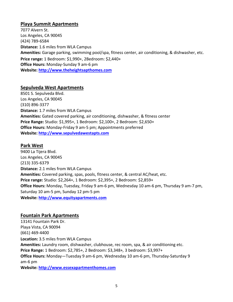#### **Playa Summit Apartments**

7077 Alvern St. Los Angeles, CA 90045 (424) 789-6584 **Distance:** 1.6 miles from WLA Campus **Amenities:** Garage parking, swimming pool/spa, fitness center, air conditioning, & dishwasher, etc. **Price range:** 1 Bedroom: \$1,990+, 2Bedroom: \$2,440+ **Office Hours:** Monday-Sunday 9 am-6 pm **Website: [http://www.theheightsapthomes.com](http://www.theheightsapthomes.com/)**

#### **Sepulveda West Apartments**

8501 S. Sepulveda Blvd. Los Angeles, CA 90045 (310) 896-3377 **Distance:** 1.7 miles from WLA Campus **Amenities:** Gated covered parking, air conditioning, dishwasher, & fitness center **Price Range:** Studio: \$1,995+, 1 Bedroom: \$2,100+, 2 Bedroom: \$2,650+ **Office Hours:** Monday-Friday 9 am-5 pm; Appointments preferred **Website: [http://www.sepulvedawestapts.com](http://www.sepulvedawestapts.com/)**

#### **Park West**

9400 La Tijera Blvd. Los Angeles, CA 90045 (213) 335-6379 **Distance:** 2.1 miles from WLA Campus **Amenities:** Covered parking, spas, pools, fitness center, & central AC/heat, etc. **Price range:** Studio: \$2,264+, 1 Bedroom: \$2,395+, 2 Bedroom: \$2,859+ **Office Hours:** Monday, Tuesday, Friday 9 am-6 pm, Wednesday 10 am-6 pm, Thursday 9 am-7 pm, Saturday 10 am-5 pm, Sunday 12 pm-5 pm **Website: [http://www.equityapartments.com](http://www.equityapartments.com/los-angeles/westchester/park-west-apartments)**

#### **Fountain Park Apartments**

13141 Fountain Park Dr. Playa Vista, CA 90094 (661) 469-4400 **Location:** 3.5 miles from WLA Campus **Amenities:** Laundry room, dishwasher, clubhouse, rec room, spa, & air conditioning etc. **Price Range:** 1 Bedroom: \$2,785+, 2 Bedroom: \$3,348+*,* 3 bedroom: \$3,997+ **Office Hours:** Monday—Tuesday 9 am-6 pm, Wednesday 10 am-6 pm, Thursday-Saturday 9 am-6 pm **Website: [http://www.essexapartmenthomes.com](http://www.essexapartmenthomes.com/california/los-angeles-area-apartments/playa-vista-apartments/fountain-park-playa-vista)**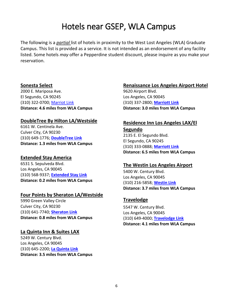# Hotels near GSEP, WLA Campus

The following is a *partial* list of hotels in proximity to the West Lost Angeles (WLA) Graduate Campus. This list is provided as a service. It is not intended as an endorsement of any facility listed. Some hotels *may* offer a Pepperdine student discount, please inquire as you make your reservation.

#### **Sonesta Select**

2000 E. Mariposa Ave. El Segundo, CA 90245 (310) 322-0700; [Marriot](http://www.marriott.com/hotels/travel/laxca) Link **Distance: 4.6 miles from WLA Campus**

#### **DoubleTree By Hilton LA/Westside**

6161 W. Centinela Ave. Culver City, CA 90230 (310) 649-1776; **[DoubleTree](http://doubletree3.hilton.com/en/hotels/california/doubletree-by-hilton-hotel-los-angeles-westside-LAXCCDT/index.html) Link Distance: 1.3 miles from WLA Campus**

#### **Extended Stay America**

6531 S. Sepulveda Blvd. Los Angeles, CA 90045 (310) 568-9337; **[Extended](http://www.extendedstayhotels.com/) Stay Link Distance: 0.2 miles from WLA Campus**

#### **Four Points by Sheraton LA/Westside**

5990 Green Valley Circle Culver City, CA 90230 (310) 641-7740; **[Sheraton](http://www.fourpointslosangeleswestside.com/) Link Distance: 0.8 miles from WLA Campus**

#### **La Quinta Inn & Suites LAX**

5249 W. Century Blvd. Los Angeles, CA 90045 (310) 645-2200; **La [Quinta](http://laquintalosangeleslaxairport.com/) Link Distance: 3.5 miles from WLA Campus**

#### **Renaissance Los Angeles Airport Hotel**

9620 Airport Blvd. Los Angeles, CA 90045 (310) 337-2800; **[Marriott](http://www.marriott.com/hotels/travel/laxrr-%2520%2520renaissance-los-angeles-airport-hotel/) Link Distance: 3.0 miles from WLA Campus**

#### **Residence Inn Los Angeles LAX/El**

**Segundo** 2135 E. El Segundo Blvd. El Segundo, CA 90245 (310) 333-0888; **[Marriott](http://www.marriott.com/hotels/travel/laxel) Link Distance: 6.5 miles from WLA Campus**

#### **The Westin Los Angeles Airport**

5400 W. Century Blvd. Los Angeles, CA 90045 (310) 216-5858; **[Westin](http://www.westin.com/LosAngeles) Link Distance: 3.7 miles from WLA Campus**

#### **Travelodge**

5547 W. Century Blvd. Los Angeles, CA 90045 (310) 649-4000; **[Travelodge](http://www.travelodgelax.com/) Link Distance: 4.1 miles from WLA Campus**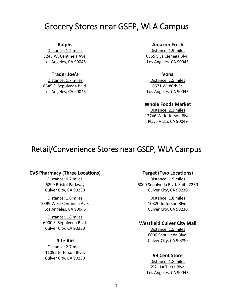## Grocery Stores near GSEP, WLA Campus

#### **Ralphs**

Distance: 1.2 miles 5245 W. Centinela Ave. Los Angeles, CA 90045

#### **Trader Joe's**

Distance: 1.7 miles 8645 S. Sepulveda Blvd. Los Angeles, CA 90045

#### **Amazon Fresh**

Distance: 1.9 miles 6855 S La Cienega Blvd. Los Angeles, CA 90045

#### **Vons**

Distance: 1.5 miles 6571 W. 80th St. Los Angeles, CA 90045

#### **Whole Foods Market**

Distance: 2.3 miles 12746 W. Jefferson Blvd. Playa Vista, CA 90049

### Retail/Convenience Stores near GSEP, WLA Campus

#### **CVS Pharmacy (Three Locations)**

Distance: 0.7 miles 6299 Bristol Parkway Culver City, CA 90230

Distance: 1.6 miles 5399 West Centinela Ave. Los Angeles, CA 90045

Distance: 1.8 miles 6000 S. Sepulveda Blvd. Culver City, CA 90230

#### **Rite Aid**

Distance: 2.7 miles 11096 Jefferson Blvd. Culver City, CA 90230

#### **Target (Two Locations)**

Distance: 1.5 miles 6000 Sepulveda Blvd. Suite 2250 Culver City, CA 90230

> Distance: 1.8 miles 10820 Jefferson Blvd. Culver City, CA 90230

#### **Westfield Culver City Mall**

Distance: 1.5 miles 6000 Sepulveda Blvd. Culver City, CA 90230

#### **99 Cent Store**

Distance: 1.8 miles 6921 La Tijera Blvd. Los Angeles, CA 90045